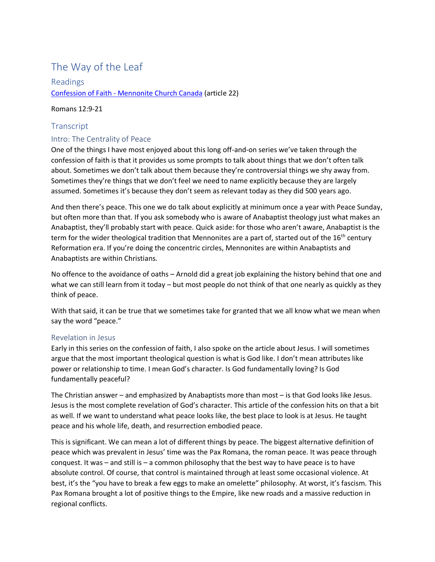# The Way of the Leaf

Readings Confession of Faith - [Mennonite Church Canada](https://www.mennonitechurch.ca/cof) (article 22)

## Romans 12:9-21

## **Transcript**

## Intro: The Centrality of Peace

One of the things I have most enjoyed about this long off-and-on series we've taken through the confession of faith is that it provides us some prompts to talk about things that we don't often talk about. Sometimes we don't talk about them because they're controversial things we shy away from. Sometimes they're things that we don't feel we need to name explicitly because they are largely assumed. Sometimes it's because they don't seem as relevant today as they did 500 years ago.

And then there's peace. This one we do talk about explicitly at minimum once a year with Peace Sunday, but often more than that. If you ask somebody who is aware of Anabaptist theology just what makes an Anabaptist, they'll probably start with peace. Quick aside: for those who aren't aware, Anabaptist is the term for the wider theological tradition that Mennonites are a part of, started out of the 16<sup>th</sup> century Reformation era. If you're doing the concentric circles, Mennonites are within Anabaptists and Anabaptists are within Christians.

No offence to the avoidance of oaths – Arnold did a great job explaining the history behind that one and what we can still learn from it today – but most people do not think of that one nearly as quickly as they think of peace.

With that said, it can be true that we sometimes take for granted that we all know what we mean when say the word "peace."

## Revelation in Jesus

Early in this series on the confession of faith, I also spoke on the article about Jesus. I will sometimes argue that the most important theological question is what is God like. I don't mean attributes like power or relationship to time. I mean God's character. Is God fundamentally loving? Is God fundamentally peaceful?

The Christian answer – and emphasized by Anabaptists more than most – is that God looks like Jesus. Jesus is the most complete revelation of God's character. This article of the confession hits on that a bit as well. If we want to understand what peace looks like, the best place to look is at Jesus. He taught peace and his whole life, death, and resurrection embodied peace.

This is significant. We can mean a lot of different things by peace. The biggest alternative definition of peace which was prevalent in Jesus' time was the Pax Romana, the roman peace. It was peace through conquest. It was – and still is – a common philosophy that the best way to have peace is to have absolute control. Of course, that control is maintained through at least some occasional violence. At best, it's the "you have to break a few eggs to make an omelette" philosophy. At worst, it's fascism. This Pax Romana brought a lot of positive things to the Empire, like new roads and a massive reduction in regional conflicts.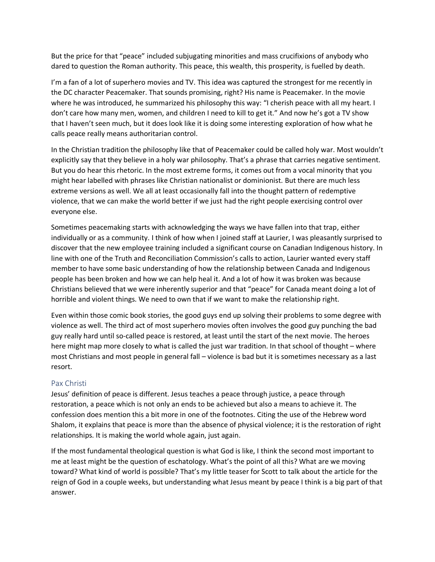But the price for that "peace" included subjugating minorities and mass crucifixions of anybody who dared to question the Roman authority. This peace, this wealth, this prosperity, is fuelled by death.

I'm a fan of a lot of superhero movies and TV. This idea was captured the strongest for me recently in the DC character Peacemaker. That sounds promising, right? His name is Peacemaker. In the movie where he was introduced, he summarized his philosophy this way: "I cherish peace with all my heart. I don't care how many men, women, and children I need to kill to get it." And now he's got a TV show that I haven't seen much, but it does look like it is doing some interesting exploration of how what he calls peace really means authoritarian control.

In the Christian tradition the philosophy like that of Peacemaker could be called holy war. Most wouldn't explicitly say that they believe in a holy war philosophy. That's a phrase that carries negative sentiment. But you do hear this rhetoric. In the most extreme forms, it comes out from a vocal minority that you might hear labelled with phrases like Christian nationalist or dominionist. But there are much less extreme versions as well. We all at least occasionally fall into the thought pattern of redemptive violence, that we can make the world better if we just had the right people exercising control over everyone else.

Sometimes peacemaking starts with acknowledging the ways we have fallen into that trap, either individually or as a community. I think of how when I joined staff at Laurier, I was pleasantly surprised to discover that the new employee training included a significant course on Canadian Indigenous history. In line with one of the Truth and Reconciliation Commission's calls to action, Laurier wanted every staff member to have some basic understanding of how the relationship between Canada and Indigenous people has been broken and how we can help heal it. And a lot of how it was broken was because Christians believed that we were inherently superior and that "peace" for Canada meant doing a lot of horrible and violent things. We need to own that if we want to make the relationship right.

Even within those comic book stories, the good guys end up solving their problems to some degree with violence as well. The third act of most superhero movies often involves the good guy punching the bad guy really hard until so-called peace is restored, at least until the start of the next movie. The heroes here might map more closely to what is called the just war tradition. In that school of thought – where most Christians and most people in general fall – violence is bad but it is sometimes necessary as a last resort.

## Pax Christi

Jesus' definition of peace is different. Jesus teaches a peace through justice, a peace through restoration, a peace which is not only an ends to be achieved but also a means to achieve it. The confession does mention this a bit more in one of the footnotes. Citing the use of the Hebrew word Shalom, it explains that peace is more than the absence of physical violence; it is the restoration of right relationships. It is making the world whole again, just again.

If the most fundamental theological question is what God is like, I think the second most important to me at least might be the question of eschatology. What's the point of all this? What are we moving toward? What kind of world is possible? That's my little teaser for Scott to talk about the article for the reign of God in a couple weeks, but understanding what Jesus meant by peace I think is a big part of that answer.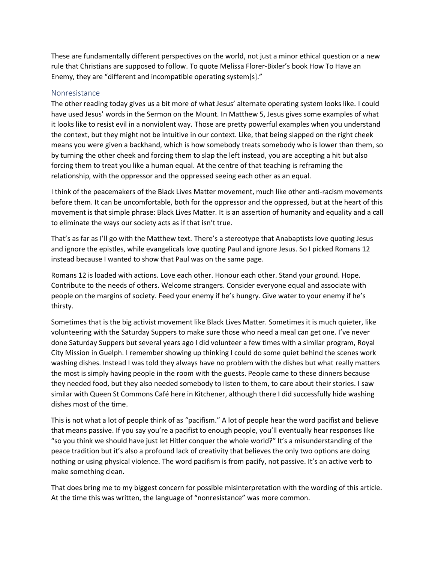These are fundamentally different perspectives on the world, not just a minor ethical question or a new rule that Christians are supposed to follow. To quote Melissa Florer-Bixler's book How To Have an Enemy, they are "different and incompatible operating system[s]."

#### Nonresistance

The other reading today gives us a bit more of what Jesus' alternate operating system looks like. I could have used Jesus' words in the Sermon on the Mount. In Matthew 5, Jesus gives some examples of what it looks like to resist evil in a nonviolent way. Those are pretty powerful examples when you understand the context, but they might not be intuitive in our context. Like, that being slapped on the right cheek means you were given a backhand, which is how somebody treats somebody who is lower than them, so by turning the other cheek and forcing them to slap the left instead, you are accepting a hit but also forcing them to treat you like a human equal. At the centre of that teaching is reframing the relationship, with the oppressor and the oppressed seeing each other as an equal.

I think of the peacemakers of the Black Lives Matter movement, much like other anti-racism movements before them. It can be uncomfortable, both for the oppressor and the oppressed, but at the heart of this movement is that simple phrase: Black Lives Matter. It is an assertion of humanity and equality and a call to eliminate the ways our society acts as if that isn't true.

That's as far as I'll go with the Matthew text. There's a stereotype that Anabaptists love quoting Jesus and ignore the epistles, while evangelicals love quoting Paul and ignore Jesus. So I picked Romans 12 instead because I wanted to show that Paul was on the same page.

Romans 12 is loaded with actions. Love each other. Honour each other. Stand your ground. Hope. Contribute to the needs of others. Welcome strangers. Consider everyone equal and associate with people on the margins of society. Feed your enemy if he's hungry. Give water to your enemy if he's thirsty.

Sometimes that is the big activist movement like Black Lives Matter. Sometimes it is much quieter, like volunteering with the Saturday Suppers to make sure those who need a meal can get one. I've never done Saturday Suppers but several years ago I did volunteer a few times with a similar program, Royal City Mission in Guelph. I remember showing up thinking I could do some quiet behind the scenes work washing dishes. Instead I was told they always have no problem with the dishes but what really matters the most is simply having people in the room with the guests. People came to these dinners because they needed food, but they also needed somebody to listen to them, to care about their stories. I saw similar with Queen St Commons Café here in Kitchener, although there I did successfully hide washing dishes most of the time.

This is not what a lot of people think of as "pacifism." A lot of people hear the word pacifist and believe that means passive. If you say you're a pacifist to enough people, you'll eventually hear responses like "so you think we should have just let Hitler conquer the whole world?" It's a misunderstanding of the peace tradition but it's also a profound lack of creativity that believes the only two options are doing nothing or using physical violence. The word pacifism is from pacify, not passive. It's an active verb to make something clean.

That does bring me to my biggest concern for possible misinterpretation with the wording of this article. At the time this was written, the language of "nonresistance" was more common.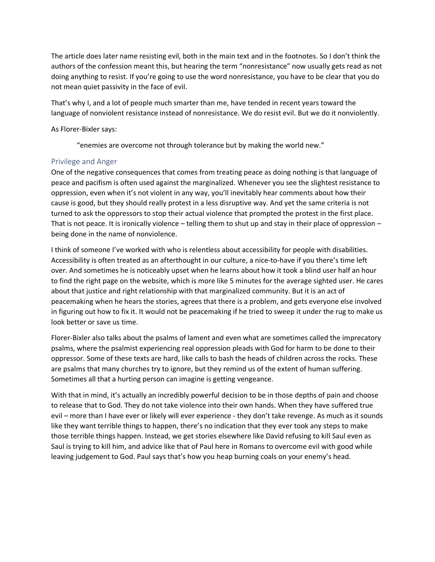The article does later name resisting evil, both in the main text and in the footnotes. So I don't think the authors of the confession meant this, but hearing the term "nonresistance" now usually gets read as not doing anything to resist. If you're going to use the word nonresistance, you have to be clear that you do not mean quiet passivity in the face of evil.

That's why I, and a lot of people much smarter than me, have tended in recent years toward the language of nonviolent resistance instead of nonresistance. We do resist evil. But we do it nonviolently.

#### As Florer-Bixler says:

"enemies are overcome not through tolerance but by making the world new."

#### Privilege and Anger

One of the negative consequences that comes from treating peace as doing nothing is that language of peace and pacifism is often used against the marginalized. Whenever you see the slightest resistance to oppression, even when it's not violent in any way, you'll inevitably hear comments about how their cause is good, but they should really protest in a less disruptive way. And yet the same criteria is not turned to ask the oppressors to stop their actual violence that prompted the protest in the first place. That is not peace. It is ironically violence – telling them to shut up and stay in their place of oppression – being done in the name of nonviolence.

I think of someone I've worked with who is relentless about accessibility for people with disabilities. Accessibility is often treated as an afterthought in our culture, a nice-to-have if you there's time left over. And sometimes he is noticeably upset when he learns about how it took a blind user half an hour to find the right page on the website, which is more like 5 minutes for the average sighted user. He cares about that justice and right relationship with that marginalized community. But it is an act of peacemaking when he hears the stories, agrees that there is a problem, and gets everyone else involved in figuring out how to fix it. It would not be peacemaking if he tried to sweep it under the rug to make us look better or save us time.

Florer-Bixler also talks about the psalms of lament and even what are sometimes called the imprecatory psalms, where the psalmist experiencing real oppression pleads with God for harm to be done to their oppressor. Some of these texts are hard, like calls to bash the heads of children across the rocks. These are psalms that many churches try to ignore, but they remind us of the extent of human suffering. Sometimes all that a hurting person can imagine is getting vengeance.

With that in mind, it's actually an incredibly powerful decision to be in those depths of pain and choose to release that to God. They do not take violence into their own hands. When they have suffered true evil – more than I have ever or likely will ever experience - they don't take revenge. As much as it sounds like they want terrible things to happen, there's no indication that they ever took any steps to make those terrible things happen. Instead, we get stories elsewhere like David refusing to kill Saul even as Saul is trying to kill him, and advice like that of Paul here in Romans to overcome evil with good while leaving judgement to God. Paul says that's how you heap burning coals on your enemy's head.